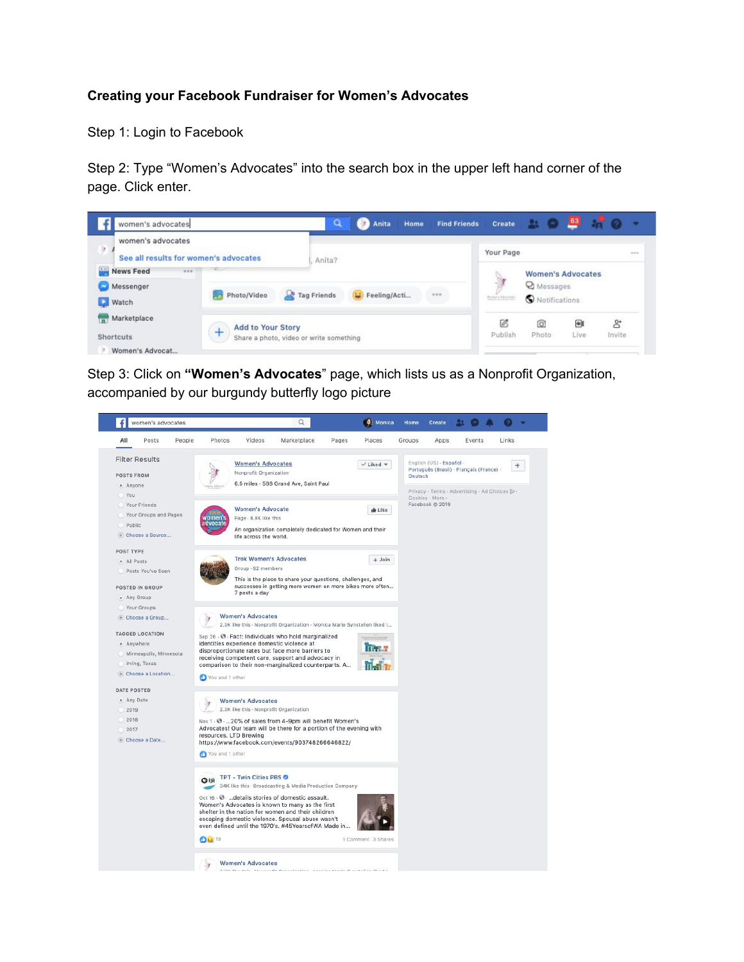## **Creating your Facebook Fundraiser for Women's Advocates**

Step 1: Login to Facebook

Step 2: Type "Women's Advocates" into the search box in the upper left hand corner of the page. Click enter.



Step 3: Click on **"Women's Advocates**" page, which lists us as a Nonprofit Organization, accompanied by our burgundy butterfly logo picture

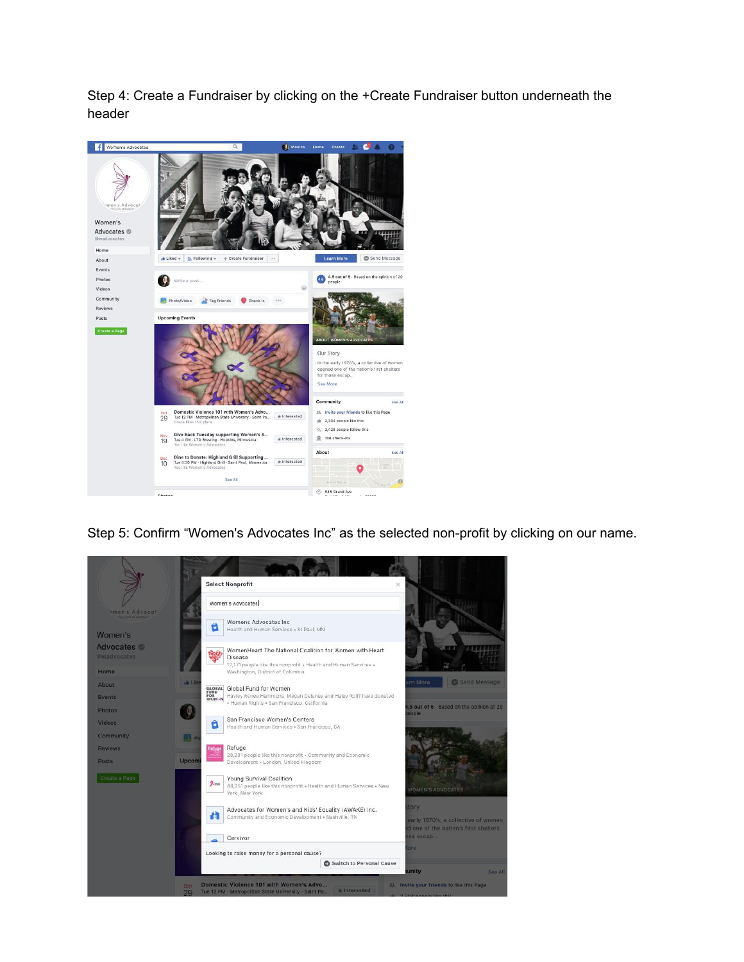Step 4: Create a Fundraiser by clicking on the +Create Fundraiser button underneath the header



Step 5: Confirm "Women's Advocates Inc" as the selected non-profit by clicking on our name.

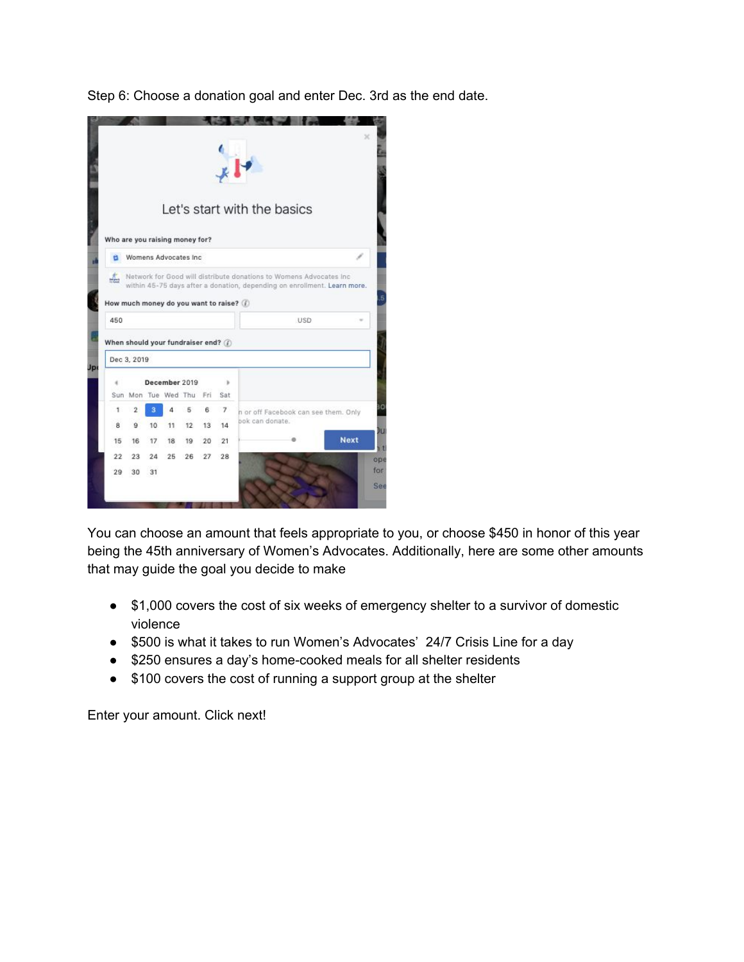Step 6: Choose a donation goal and enter Dec. 3rd as the end date.

| Who are you raising money for?                                                            |                                           |    |                       |       |    | $H_{*}$               | Let's start with the basics                             |
|-------------------------------------------------------------------------------------------|-------------------------------------------|----|-----------------------|-------|----|-----------------------|---------------------------------------------------------|
|                                                                                           |                                           |    | Womens Advocates Inc. |       |    |                       |                                                         |
| How much money do you want to raise? (1)<br>450<br>When should your fundraiser end? $(i)$ | Dec 3, 2019                               |    |                       |       |    | <b>USD</b>            |                                                         |
| <b>Jp</b>                                                                                 |                                           |    |                       |       |    |                       |                                                         |
|                                                                                           |                                           |    | December 2019         |       |    | r                     |                                                         |
| 1                                                                                         | Sun Mon Tue Wed Thu Fri<br>$\overline{2}$ | з  | 4                     | 5     | 6. | Sat<br>$\overline{7}$ |                                                         |
| 8                                                                                         | ģ                                         | 10 | 11                    | 12    | 13 | 14                    | n or off Facebook can see them. Only<br>bok can donate. |
| 15                                                                                        | 16                                        | 17 | 18                    | 19    | 20 | 21                    | <b>Next</b>                                             |
| $22^{1}$                                                                                  | 23                                        | 24 | 25                    | 26 27 |    | 28                    |                                                         |
| 29                                                                                        | 30                                        | 31 |                       |       |    |                       |                                                         |

You can choose an amount that feels appropriate to you, or choose \$450 in honor of this year being the 45th anniversary of Women's Advocates. Additionally, here are some other amounts that may guide the goal you decide to make

- \$1,000 covers the cost of six weeks of emergency shelter to a survivor of domestic violence
- \$500 is what it takes to run Women's Advocates' 24/7 Crisis Line for a day
- \$250 ensures a day's home-cooked meals for all shelter residents
- \$100 covers the cost of running a support group at the shelter

Enter your amount. Click next!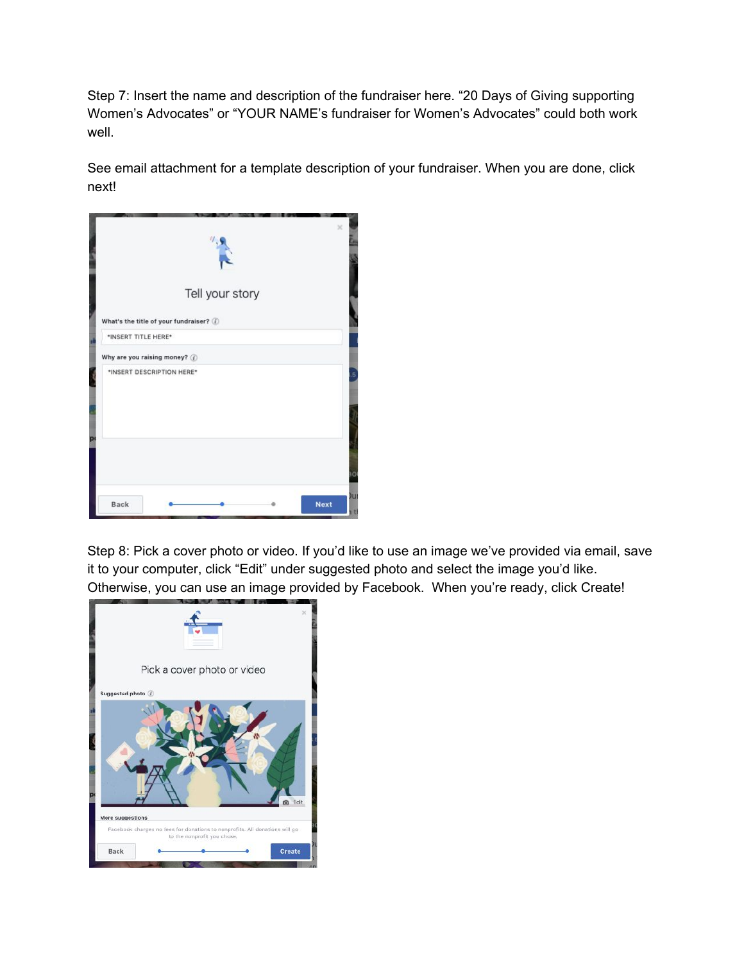Step 7: Insert the name and description of the fundraiser here. "20 Days of Giving supporting Women's Advocates" or "YOUR NAME's fundraiser for Women's Advocates" could both work well.

See email attachment for a template description of your fundraiser. When you are done, click next!

|                     |                                          | Tell your story | $\times$               |
|---------------------|------------------------------------------|-----------------|------------------------|
|                     | What's the title of your fundraiser? (i) |                 |                        |
| *INSERT TITLE HERE* |                                          |                 |                        |
|                     | Why are you raising money? (i)           |                 |                        |
|                     | *INSERT DESCRIPTION HERE*                |                 |                        |
| D                   |                                          |                 | ١C                     |
| Back                |                                          |                 | лu<br><b>Next</b><br>٠ |

Step 8: Pick a cover photo or video. If you'd like to use an image we've provided via email, save it to your computer, click "Edit" under suggested photo and select the image you'd like. Otherwise, you can use an image provided by Facebook. When you're ready, click Create!